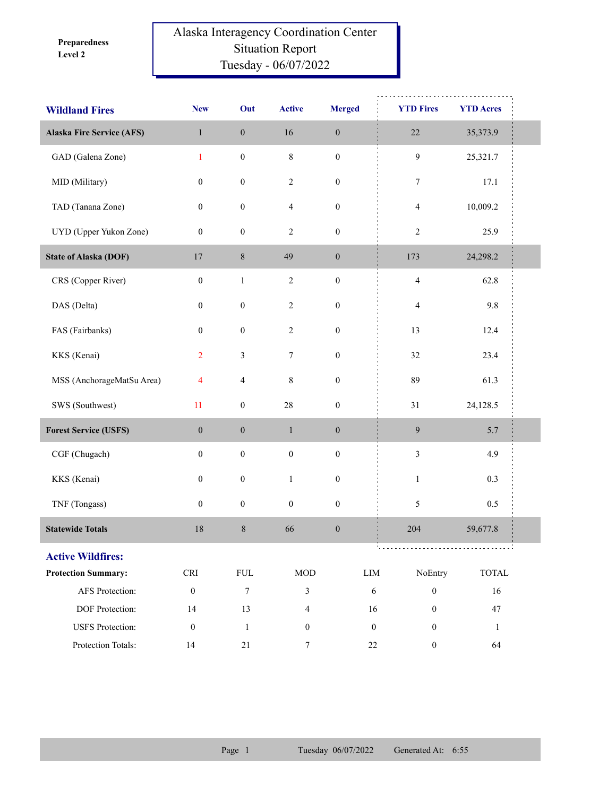**Level 2 Preparedness** 

## Alaska Interagency Coordination Center Situation Report Tuesday - 06/07/2022

| <b>Wildland Fires</b>            | <b>New</b>                  | Out              | <b>Active</b>    | <b>Merged</b>    | <b>YTD Fires</b>                     | <b>YTD Acres</b>            |  |
|----------------------------------|-----------------------------|------------------|------------------|------------------|--------------------------------------|-----------------------------|--|
| <b>Alaska Fire Service (AFS)</b> | $\mathbf{1}$                | $\boldsymbol{0}$ | 16               | $\boldsymbol{0}$ | $22\,$                               | 35,373.9                    |  |
| GAD (Galena Zone)                | $\mathbf{1}$                | $\boldsymbol{0}$ | $\,$ $\,$        | $\boldsymbol{0}$ | 9                                    | 25,321.7                    |  |
| MID (Military)                   | $\boldsymbol{0}$            | $\boldsymbol{0}$ | 2                | $\boldsymbol{0}$ | 7                                    | 17.1                        |  |
| TAD (Tanana Zone)                | $\boldsymbol{0}$            | $\boldsymbol{0}$ | 4                | $\boldsymbol{0}$ | $\overline{4}$                       | 10,009.2                    |  |
| UYD (Upper Yukon Zone)           | $\boldsymbol{0}$            | $\boldsymbol{0}$ | $\sqrt{2}$       | $\boldsymbol{0}$ | $\sqrt{2}$                           | 25.9                        |  |
| <b>State of Alaska (DOF)</b>     | $17\,$                      | $\,8\,$          | 49               | $\boldsymbol{0}$ | 173                                  | 24,298.2                    |  |
| CRS (Copper River)               | $\boldsymbol{0}$            | $\mathbf{1}$     | $\overline{c}$   | $\boldsymbol{0}$ | $\overline{\mathbf{4}}$              | 62.8                        |  |
| DAS (Delta)                      | $\boldsymbol{0}$            | $\boldsymbol{0}$ | $\overline{c}$   | $\boldsymbol{0}$ | $\overline{4}$                       | 9.8                         |  |
| FAS (Fairbanks)                  | $\boldsymbol{0}$            | $\boldsymbol{0}$ | $\overline{c}$   | $\boldsymbol{0}$ | 13                                   | 12.4                        |  |
| KKS (Kenai)                      | $\overline{2}$              | 3                | $\tau$           | $\boldsymbol{0}$ | 32                                   | 23.4                        |  |
| MSS (AnchorageMatSu Area)        | $\overline{4}$              | 4                | $\,$ $\,$        | $\boldsymbol{0}$ | 89                                   | 61.3                        |  |
| SWS (Southwest)                  | 11                          | $\boldsymbol{0}$ | $28\,$           | $\boldsymbol{0}$ | 31                                   | 24,128.5                    |  |
| <b>Forest Service (USFS)</b>     | $\boldsymbol{0}$            | $\boldsymbol{0}$ | $\mathbf{1}$     | $\boldsymbol{0}$ | 9                                    | 5.7                         |  |
| CGF (Chugach)                    | $\boldsymbol{0}$            | $\boldsymbol{0}$ | $\boldsymbol{0}$ | $\boldsymbol{0}$ | $\mathfrak{Z}$                       | 4.9                         |  |
| KKS (Kenai)                      | $\boldsymbol{0}$            | $\boldsymbol{0}$ | $\,1$            | $\boldsymbol{0}$ | $\mathbf{1}$                         | 0.3                         |  |
| TNF (Tongass)                    | $\boldsymbol{0}$            | $\boldsymbol{0}$ | $\boldsymbol{0}$ | $\boldsymbol{0}$ | 5                                    | 0.5                         |  |
| <b>Statewide Totals</b>          | 18                          | $\,8\,$          | 66               | $\boldsymbol{0}$ | 204                                  | 59,677.8                    |  |
| <b>Active Wildfires:</b>         |                             |                  |                  |                  |                                      |                             |  |
| <b>Protection Summary:</b>       | $\ensuremath{\mathsf{CRI}}$ | <b>FUL</b>       | $\rm MOD$        |                  | ${\rm LIM}$<br>NoEntry               | $\ensuremath{\text{TOTAL}}$ |  |
| AFS Protection:                  | $\boldsymbol{0}$            | $\boldsymbol{7}$ | 3                |                  | $\sqrt{6}$<br>$\boldsymbol{0}$       | 16                          |  |
| DOF Protection:                  | 14                          | 13               | 4                |                  | $\boldsymbol{0}$<br>16               | 47                          |  |
| <b>USFS</b> Protection:          | $\boldsymbol{0}$            | $\mathbf{1}$     | $\boldsymbol{0}$ |                  | $\boldsymbol{0}$<br>$\boldsymbol{0}$ | $\mathbf{1}$                |  |
| Protection Totals:               | 14                          | 21               | $\boldsymbol{7}$ |                  | $22\,$<br>$\boldsymbol{0}$           | 64                          |  |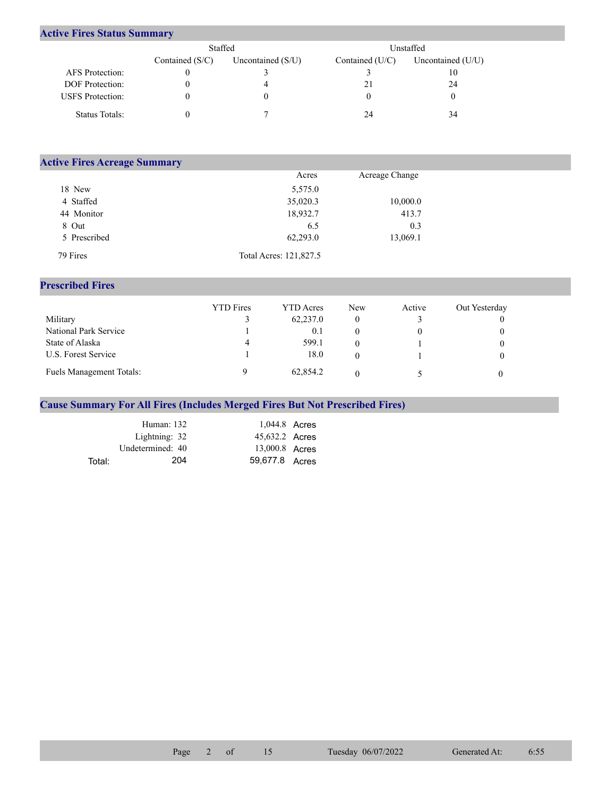## **Active Fires Status Summary**

|                         | Staffed           |                   |                   | Unstaffed         |
|-------------------------|-------------------|-------------------|-------------------|-------------------|
|                         | Contained $(S/C)$ | Uncontained (S/U) | Contained $(U/C)$ | Uncontained (U/U) |
| AFS Protection:         |                   |                   |                   | 10                |
| <b>DOF</b> Protection:  |                   |                   | 21                | 24                |
| <b>USFS</b> Protection: |                   | O                 |                   |                   |
| Status Totals:          |                   |                   | 24                | 34                |

| <b>Active Fires Acreage Summary</b> |                        |                |  |
|-------------------------------------|------------------------|----------------|--|
|                                     | Acres                  | Acreage Change |  |
| 18 New                              | 5,575.0                |                |  |
| 4 Staffed                           | 35,020.3               | 10,000.0       |  |
| 44 Monitor                          | 18,932.7               | 413.7          |  |
| 8 Out                               | 6.5                    | 0.3            |  |
| 5 Prescribed                        | 62,293.0               | 13,069.1       |  |
| 79 Fires                            | Total Acres: 121,827.5 |                |  |

## **Prescribed Fires**

|                                 | <b>YTD</b> Fires | <b>YTD</b> Acres | <b>New</b> | Active | Out Yesterday |
|---------------------------------|------------------|------------------|------------|--------|---------------|
| Military                        |                  | 62,237.0         |            |        |               |
| National Park Service           |                  | 0.1              |            |        |               |
| State of Alaska                 | 4                | 599.1            |            |        |               |
| U.S. Forest Service             |                  | 18.0             |            |        |               |
| <b>Fuels Management Totals:</b> |                  | 62,854.2         |            |        |               |

## **Cause Summary For All Fires (Includes Merged Fires But Not Prescribed Fires)**

|        | Human: 132       | 1,044.8 Acres  |  |
|--------|------------------|----------------|--|
|        | Lightning: 32    | 45,632.2 Acres |  |
|        | Undetermined: 40 | 13,000.8 Acres |  |
| Total: | 204              | 59.677.8 Acres |  |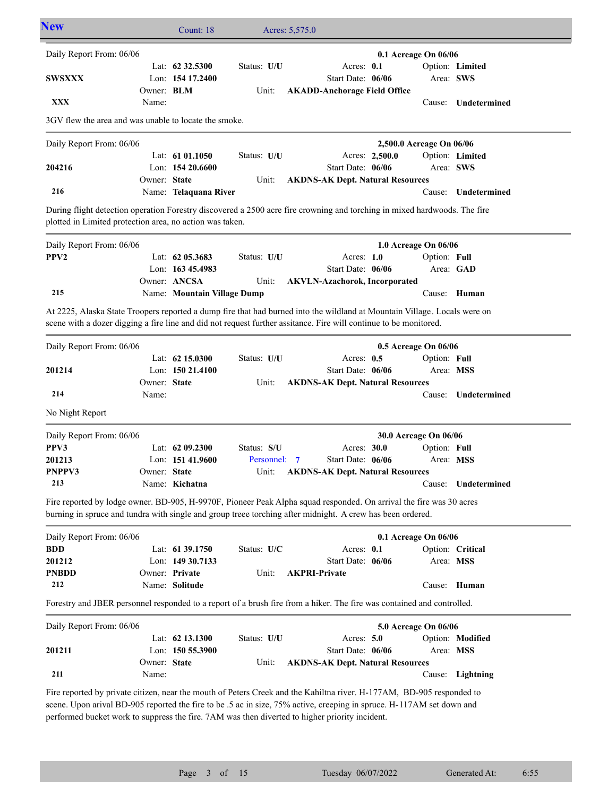| <b>New</b>                                                                                                                                                                                                                                     |                            | Count: 18                              |              | Acres: 5,575.0                          |                          |              |                              |
|------------------------------------------------------------------------------------------------------------------------------------------------------------------------------------------------------------------------------------------------|----------------------------|----------------------------------------|--------------|-----------------------------------------|--------------------------|--------------|------------------------------|
| Daily Report From: 06/06                                                                                                                                                                                                                       |                            |                                        |              |                                         | 0.1 Acreage On 06/06     |              |                              |
| <b>SWSXXX</b>                                                                                                                                                                                                                                  |                            | Lat: $62\,32.5300$<br>Lon: 154 17.2400 | Status: U/U  | Acres: 0.1<br>Start Date: 06/06         |                          |              | Option: Limited<br>Area: SWS |
| XXX                                                                                                                                                                                                                                            | Owner: <b>BLM</b><br>Name: |                                        | Unit:        | <b>AKADD-Anchorage Field Office</b>     |                          |              | Cause: Undetermined          |
| 3GV flew the area and was unable to locate the smoke.                                                                                                                                                                                          |                            |                                        |              |                                         |                          |              |                              |
| Daily Report From: 06/06                                                                                                                                                                                                                       |                            |                                        |              |                                         | 2,500.0 Acreage On 06/06 |              |                              |
|                                                                                                                                                                                                                                                |                            | Lat: $6101.1050$                       | Status: U/U  |                                         | Acres: 2,500.0           |              | Option: Limited              |
| 204216                                                                                                                                                                                                                                         |                            | Lon: $15420.6600$                      |              | Start Date: 06/06                       |                          |              | Area: SWS                    |
| 216                                                                                                                                                                                                                                            | Owner: State               | Name: Telaquana River                  | Unit:        | <b>AKDNS-AK Dept. Natural Resources</b> |                          | Cause:       | Undetermined                 |
| During flight detection operation Forestry discovered a 2500 acre fire crowning and torching in mixed hardwoods. The fire                                                                                                                      |                            |                                        |              |                                         |                          |              |                              |
| plotted in Limited protection area, no action was taken.                                                                                                                                                                                       |                            |                                        |              |                                         |                          |              |                              |
| Daily Report From: 06/06                                                                                                                                                                                                                       |                            |                                        |              |                                         | 1.0 Acreage On 06/06     |              |                              |
| PPV <sub>2</sub>                                                                                                                                                                                                                               |                            | Lat: $62$ 05.3683                      | Status: U/U  | Acres: $1.0$                            |                          | Option: Full |                              |
|                                                                                                                                                                                                                                                |                            | Lon: 163 45.4983<br>Owner: ANCSA       |              | Start Date: 06/06                       |                          | Area: GAD    |                              |
| 215                                                                                                                                                                                                                                            |                            | Name: Mountain Village Dump            | Unit:        | <b>AKVLN-Azachorok, Incorporated</b>    |                          |              | Cause: Human                 |
|                                                                                                                                                                                                                                                |                            |                                        |              |                                         |                          |              |                              |
| At 2225, Alaska State Troopers reported a dump fire that had burned into the wildland at Mountain Village. Locals were on<br>scene with a dozer digging a fire line and did not request further assitance. Fire will continue to be monitored. |                            |                                        |              |                                         |                          |              |                              |
| Daily Report From: 06/06                                                                                                                                                                                                                       |                            |                                        |              |                                         | 0.5 Acreage On 06/06     |              |                              |
|                                                                                                                                                                                                                                                |                            | Lat: $62$ 15.0300                      | Status: U/U  | Acres: $0.5$                            |                          | Option: Full |                              |
| 201214                                                                                                                                                                                                                                         |                            | Lon: 150 21.4100                       |              | Start Date: 06/06                       |                          |              | Area: MSS                    |
| 214                                                                                                                                                                                                                                            | Owner: State<br>Name:      |                                        | Unit:        | <b>AKDNS-AK Dept. Natural Resources</b> |                          | Cause:       | Undetermined                 |
| No Night Report                                                                                                                                                                                                                                |                            |                                        |              |                                         |                          |              |                              |
| Daily Report From: 06/06                                                                                                                                                                                                                       |                            |                                        |              |                                         |                          |              |                              |
| PPV3                                                                                                                                                                                                                                           |                            | Lat: $6209.2300$                       | Status: S/U  | Acres: 30.0                             | 30.0 Acreage On 06/06    | Option: Full |                              |
| 201213                                                                                                                                                                                                                                         |                            | Lon: $15141.9600$                      | Personnel: 7 | Start Date: 06/06                       |                          | Area: MSS    |                              |
| PNPPV3                                                                                                                                                                                                                                         | Owner: State               |                                        |              | Unit: AKDNS-AK Dept. Natural Resources  |                          |              |                              |
| 213                                                                                                                                                                                                                                            |                            | Name: Kichatna                         |              |                                         |                          |              | Cause: Undetermined          |
| Fire reported by lodge owner. BD-905, H-9970F, Pioneer Peak Alpha squad responded. On arrival the fire was 30 acres<br>burning in spruce and tundra with single and group treee torching after midnight. A crew has been ordered.              |                            |                                        |              |                                         |                          |              |                              |
| Daily Report From: 06/06                                                                                                                                                                                                                       |                            |                                        |              |                                         | 0.1 Acreage On 06/06     |              |                              |
| <b>BDD</b>                                                                                                                                                                                                                                     |                            | Lat: 61 39.1750                        | Status: U/C  | Acres: 0.1                              |                          |              | Option: Critical             |
| 201212                                                                                                                                                                                                                                         |                            | Lon: 149 30.7133                       |              | Start Date: 06/06                       |                          |              | Area: MSS                    |
| <b>PNBDD</b>                                                                                                                                                                                                                                   |                            | Owner: Private                         | Unit:        | <b>AKPRI-Private</b>                    |                          |              |                              |
| 212                                                                                                                                                                                                                                            |                            | Name: Solitude                         |              |                                         |                          |              | Cause: Human                 |
| Forestry and JBER personnel responded to a report of a brush fire from a hiker. The fire was contained and controlled.                                                                                                                         |                            |                                        |              |                                         |                          |              |                              |
| Daily Report From: 06/06                                                                                                                                                                                                                       |                            |                                        |              |                                         | 5.0 Acreage On 06/06     |              |                              |
|                                                                                                                                                                                                                                                |                            | Lat: 62 13.1300                        | Status: U/U  | Acres: 5.0                              |                          |              | Option: Modified             |
| 201211                                                                                                                                                                                                                                         |                            | Lon: 150 55.3900                       |              | Start Date: 06/06                       |                          |              | Area: MSS                    |
| 211                                                                                                                                                                                                                                            | Owner: State<br>Name:      |                                        | Unit:        | <b>AKDNS-AK Dept. Natural Resources</b> |                          |              | Cause: Lightning             |
|                                                                                                                                                                                                                                                |                            |                                        |              |                                         |                          |              |                              |
| Fire reported by private citizen, near the mouth of Peters Creek and the Kahiltna river. H-177AM, BD-905 responded to<br>scene. Upon arival BD-905 reported the fire to be .5 ac in size, 75% active, creeping in spruce. H-117AM set down and |                            |                                        |              |                                         |                          |              |                              |

performed bucket work to suppress the fire. 7AM was then diverted to higher priority incident.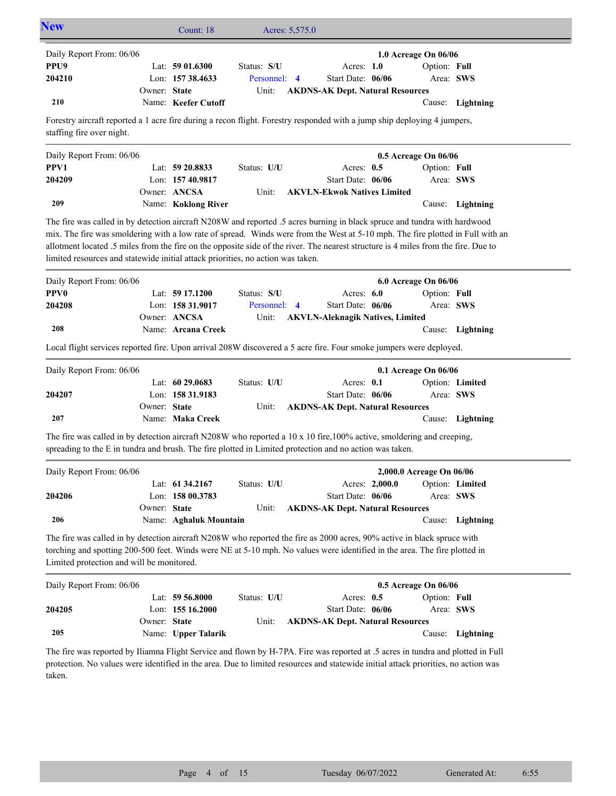| <b>New</b>               |              | Count: $18$         |              | Acres: 5,575.0 |                                         |                      |                  |  |
|--------------------------|--------------|---------------------|--------------|----------------|-----------------------------------------|----------------------|------------------|--|
| Daily Report From: 06/06 |              |                     |              |                |                                         | 1.0 Acreage On 06/06 |                  |  |
| PPU9                     |              | Lat: $5901.6300$    | Status: S/U  |                | Acres: $1.0$                            | Option: Full         |                  |  |
| 204210                   |              | Lon: $15738.4633$   | Personnel: 4 |                | Start Date: 06/06                       | Area: SWS            |                  |  |
|                          | Owner: State |                     | Unit:        |                | <b>AKDNS-AK Dept. Natural Resources</b> |                      |                  |  |
| 210                      |              | Name: Keefer Cutoff |              |                |                                         |                      | Cause: Lightning |  |

Forestry aircraft reported a 1 acre fire during a recon flight. Forestry responded with a jump ship deploying 4 jumpers, staffing fire over night.

| Daily Report From: 06/06 |                     |             |                                    | $0.5$ Acreage On $06/06$ |              |                  |
|--------------------------|---------------------|-------------|------------------------------------|--------------------------|--------------|------------------|
| PPV1                     | Lat: $59\,20.8833$  | Status: U/U | Acres: $0.5$                       |                          | Option: Full |                  |
| 204209                   | Lon: $15740.9817$   |             | Start Date: $06/06$                |                          |              | Area: SWS        |
|                          | Owner: ANCSA        | Unit:       | <b>AKVLN-Ekwok Natives Limited</b> |                          |              |                  |
| 209                      | Name: Koklong River |             |                                    |                          |              | Cause: Lightning |

The fire was called in by detection aircraft N208W and reported .5 acres burning in black spruce and tundra with hardwood mix. The fire was smoldering with a low rate of spread. Winds were from the West at 5-10 mph. The fire plotted in Full with an allotment located .5 miles from the fire on the opposite side of the river. The nearest structure is 4 miles from the fire. Due to limited resources and statewide initial attack priorities, no action was taken.

| Daily Report From: 06/06 |                    |              |                                        | <b>6.0 Acreage On 06/06</b> |                  |
|--------------------------|--------------------|--------------|----------------------------------------|-----------------------------|------------------|
| <b>PPV0</b>              | Lat: $5917.1200$   | Status: S/U  | Acres: $6.0$                           | Option: Full                |                  |
| 204208                   | Lon: $15831.9017$  | Personnel: 4 | Start Date: $06/06$                    | Area: SWS                   |                  |
|                          | Owner: ANCSA       |              | Unit: AKVLN-Aleknagik Natives, Limited |                             |                  |
| 208                      | Name: Arcana Creek |              |                                        |                             | Cause: Lightning |

Local flight services reported fire. Upon arrival 208W discovered a 5 acre fire. Four smoke jumpers were deployed.

| Daily Report From: 06/06 |              |                    |             |                                         | $0.1$ Acreage On $06/06$ |                  |
|--------------------------|--------------|--------------------|-------------|-----------------------------------------|--------------------------|------------------|
|                          |              | Lat: $60\,29.0683$ | Status: U/U | Acres: 0.1                              |                          | Option: Limited  |
| 204207                   |              | Lon: $15831.9183$  |             | Start Date: 06/06                       | Area: SWS                |                  |
|                          | Owner: State |                    | Unit:       | <b>AKDNS-AK Dept. Natural Resources</b> |                          |                  |
| 207                      |              | Name: Maka Creek   |             |                                         |                          | Cause: Lightning |

The fire was called in by detection aircraft N208W who reported a 10 x 10 fire,100% active, smoldering and creeping, spreading to the E in tundra and brush. The fire plotted in Limited protection and no action was taken.

| Daily Report From: 06/06 |              |                        |             |                                         |                | 2,000.0 Acreage On 06/06 |                  |
|--------------------------|--------------|------------------------|-------------|-----------------------------------------|----------------|--------------------------|------------------|
|                          |              | Lat: $61\,34.2167$     | Status: U/U |                                         | Acres: 2,000.0 |                          | Option: Limited  |
| 204206                   |              | Lon: $15800.3783$      |             | Start Date: 06/06                       |                | Area: SWS                |                  |
|                          | Owner: State |                        | Unit:       | <b>AKDNS-AK Dept. Natural Resources</b> |                |                          |                  |
| 206                      |              | Name: Aghaluk Mountain |             |                                         |                |                          | Cause: Lightning |

The fire was called in by detection aircraft N208W who reported the fire as 2000 acres, 90% active in black spruce with torching and spotting 200-500 feet. Winds were NE at 5-10 mph. No values were identified in the area. The fire plotted in Limited protection and will be monitored.

| Daily Report From: 06/06 |              |                     |             | $0.5$ Acreage On $06/06$                |  |              |                  |
|--------------------------|--------------|---------------------|-------------|-----------------------------------------|--|--------------|------------------|
|                          |              | Lat: $59\,56.8000$  | Status: U/U | Acres: $0.5$                            |  | Option: Full |                  |
| 204205                   |              | Lon: $15516.2000$   |             | Start Date: 06/06                       |  |              | Area: SWS        |
|                          | Owner: State |                     | Unit:       | <b>AKDNS-AK Dept. Natural Resources</b> |  |              |                  |
| 205                      |              | Name: Upper Talarik |             |                                         |  |              | Cause: Lightning |

The fire was reported by Iliamna Flight Service and flown by H-7PA. Fire was reported at .5 acres in tundra and plotted in Full protection. No values were identified in the area. Due to limited resources and statewide initial attack priorities, no action was taken.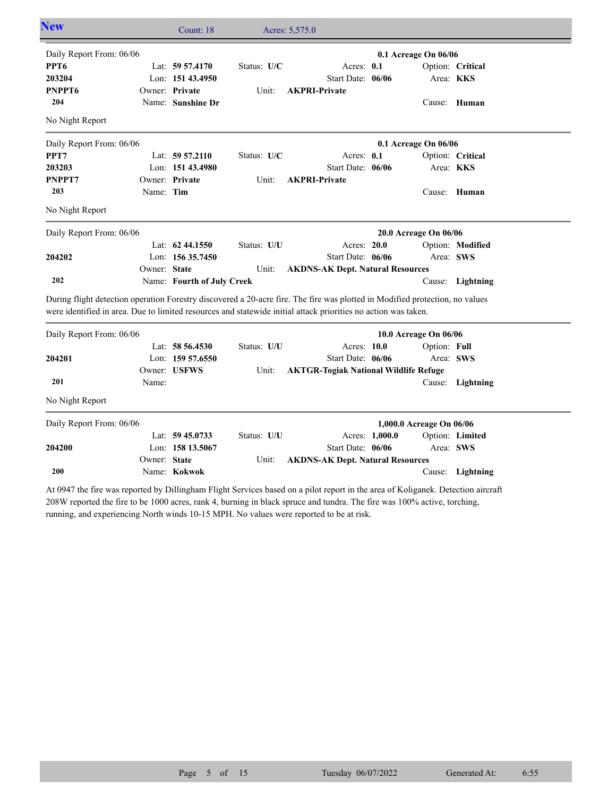| <b>New</b>                                                                                                                                                                                                                                     |              | Count: 18                  |             | Acres: 5,575.0                               |                |                          |                  |
|------------------------------------------------------------------------------------------------------------------------------------------------------------------------------------------------------------------------------------------------|--------------|----------------------------|-------------|----------------------------------------------|----------------|--------------------------|------------------|
| Daily Report From: 06/06                                                                                                                                                                                                                       |              |                            |             |                                              |                | 0.1 Acreage On 06/06     |                  |
| PPT <sub>6</sub>                                                                                                                                                                                                                               |              | Lat: 59 57.4170            | Status: U/C | Acres: $0.1$                                 |                |                          | Option: Critical |
| 203204                                                                                                                                                                                                                                         |              | Lon: 151 43.4950           |             | Start Date: 06/06                            |                |                          | Area: KKS        |
| PNPPT6                                                                                                                                                                                                                                         |              | Owner: Private             | Unit:       | <b>AKPRI-Private</b>                         |                |                          |                  |
| 204                                                                                                                                                                                                                                            |              | Name: Sunshine Dr          |             |                                              |                |                          | Cause: Human     |
| No Night Report                                                                                                                                                                                                                                |              |                            |             |                                              |                |                          |                  |
| Daily Report From: 06/06                                                                                                                                                                                                                       |              |                            |             |                                              |                | 0.1 Acreage On 06/06     |                  |
| PPT7                                                                                                                                                                                                                                           |              | Lat: $59\,57.2110$         | Status: U/C | Acres: 0.1                                   |                |                          | Option: Critical |
| 203203                                                                                                                                                                                                                                         |              | Lon: 151 43.4980           |             | Start Date: 06/06                            |                |                          | Area: KKS        |
| PNPPT7                                                                                                                                                                                                                                         |              | Owner: Private             | Unit:       | <b>AKPRI-Private</b>                         |                |                          |                  |
| 203                                                                                                                                                                                                                                            | Name: Tim    |                            |             |                                              |                |                          | Cause: Human     |
| No Night Report                                                                                                                                                                                                                                |              |                            |             |                                              |                |                          |                  |
| Daily Report From: 06/06                                                                                                                                                                                                                       |              |                            |             |                                              |                | 20.0 Acreage On 06/06    |                  |
|                                                                                                                                                                                                                                                |              | Lat: $62\,44.1550$         | Status: U/U | Acres: 20.0                                  |                |                          | Option: Modified |
| 204202                                                                                                                                                                                                                                         |              | Lon: 156 35.7450           |             | Start Date: 06/06                            |                |                          | Area: SWS        |
|                                                                                                                                                                                                                                                | Owner: State |                            | Unit:       | <b>AKDNS-AK Dept. Natural Resources</b>      |                |                          |                  |
| 202                                                                                                                                                                                                                                            |              | Name: Fourth of July Creek |             |                                              |                |                          | Cause: Lightning |
| During flight detection operation Forestry discovered a 20-acre fire. The fire was plotted in Modified protection, no values<br>were identified in area. Due to limited resources and statewide initial attack priorities no action was taken. |              |                            |             |                                              |                |                          |                  |
| Daily Report From: 06/06                                                                                                                                                                                                                       |              |                            |             |                                              |                | 10.0 Acreage On 06/06    |                  |
|                                                                                                                                                                                                                                                |              | Lat: 58 56.4530            | Status: U/U | Acres: 10.0                                  |                | Option: Full             |                  |
| 204201                                                                                                                                                                                                                                         |              | Lon: 159 57.6550           |             | Start Date: 06/06                            |                | Area: SWS                |                  |
|                                                                                                                                                                                                                                                |              | Owner: USFWS               | Unit:       | <b>AKTGR-Togiak National Wildlife Refuge</b> |                |                          |                  |
| 201                                                                                                                                                                                                                                            | Name:        |                            |             |                                              |                |                          | Cause: Lightning |
| No Night Report                                                                                                                                                                                                                                |              |                            |             |                                              |                |                          |                  |
| Daily Report From: 06/06                                                                                                                                                                                                                       |              |                            |             |                                              |                | 1,000.0 Acreage On 06/06 |                  |
|                                                                                                                                                                                                                                                |              | Lat: $59\,45.0733$         | Status: U/U |                                              | Acres: 1,000.0 |                          | Option: Limited  |
| 204200                                                                                                                                                                                                                                         |              | Lon: 158 13.5067           |             | Start Date: 06/06                            |                |                          | Area: SWS        |
|                                                                                                                                                                                                                                                | Owner: State |                            | Unit:       | <b>AKDNS-AK Dept. Natural Resources</b>      |                |                          |                  |

At 0947 the fire was reported by Dillingham Flight Services based on a pilot report in the area of Koliganek. Detection aircraft 208W reported the fire to be 1000 acres, rank 4, burning in black spruce and tundra. The fire was 100% active, torching, running, and experiencing North winds 10-15 MPH. No values were reported to be at risk.

Name: **Kokwok**

**200**

Cause: **Lightning**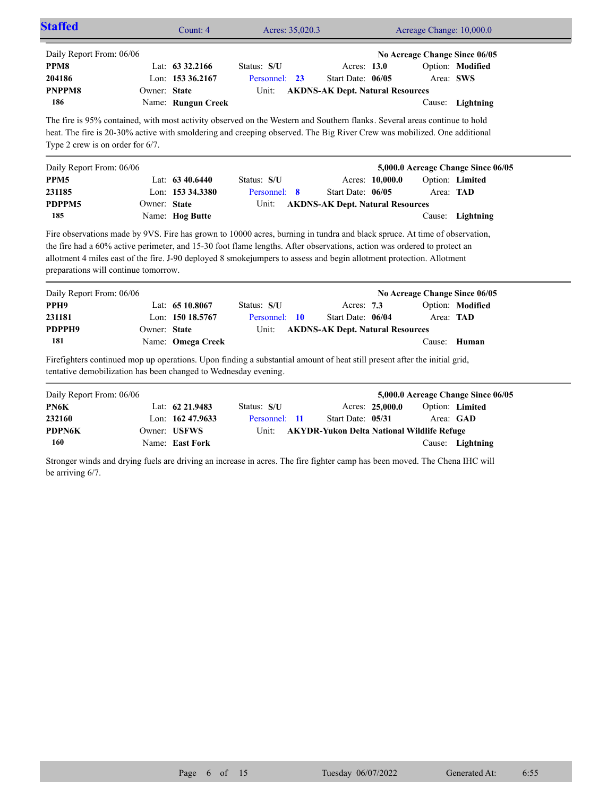|                                                                                                                                                                   |              | Count: 4                                                  | Acres: 35,020.3                                                                                                                                                                                                                                      |                                                                             |                 | Acreage Change: 10,000.0 |                                                                                    |
|-------------------------------------------------------------------------------------------------------------------------------------------------------------------|--------------|-----------------------------------------------------------|------------------------------------------------------------------------------------------------------------------------------------------------------------------------------------------------------------------------------------------------------|-----------------------------------------------------------------------------|-----------------|--------------------------|------------------------------------------------------------------------------------|
| Daily Report From: 06/06<br>PPM8<br>204186<br>PNPPM8<br>186                                                                                                       | Owner: State | Lat: 63 32.2166<br>Lon: 153 36.2167<br>Name: Rungun Creek | Status: S/U<br>Personnel: 23<br>Unit:                                                                                                                                                                                                                | Acres: 13.0<br>Start Date: 06/05<br><b>AKDNS-AK Dept. Natural Resources</b> |                 |                          | No Acreage Change Since 06/05<br>Option: Modified<br>Area: SWS<br>Cause: Lightning |
| Type 2 crew is on order for $6/7$ .                                                                                                                               |              |                                                           | The fire is 95% contained, with most activity observed on the Western and Southern flanks. Several areas continue to hold<br>heat. The fire is 20-30% active with smoldering and creeping observed. The Big River Crew was mobilized. One additional |                                                                             |                 |                          |                                                                                    |
| Daily Report From: 06/06                                                                                                                                          |              |                                                           |                                                                                                                                                                                                                                                      |                                                                             |                 |                          | 5,000.0 Acreage Change Since 06/05                                                 |
| PPM <sub>5</sub>                                                                                                                                                  |              | Lat: 63 40.6440                                           | Status: S/U                                                                                                                                                                                                                                          |                                                                             | Acres: 10,000.0 |                          | Option: Limited                                                                    |
| 231185                                                                                                                                                            |              | Lon: 153 34.3380                                          | Personnel: 8                                                                                                                                                                                                                                         | Start Date: 06/05                                                           |                 |                          | Area: TAD                                                                          |
| PDPPM5                                                                                                                                                            | Owner: State |                                                           | Unit:                                                                                                                                                                                                                                                | <b>AKDNS-AK Dept. Natural Resources</b>                                     |                 |                          |                                                                                    |
| 185                                                                                                                                                               |              | Name: Hog Butte                                           |                                                                                                                                                                                                                                                      |                                                                             |                 |                          | Cause: Lightning                                                                   |
| Fire observations made by 9VS. Fire has grown to 10000 acres, burning in tundra and black spruce. At time of observation,<br>preparations will continue tomorrow. |              |                                                           | the fire had a 60% active perimeter, and 15-30 foot flame lengths. After observations, action was ordered to protect an<br>allotment 4 miles east of the fire. J-90 deployed 8 smokejumpers to assess and begin allotment protection. Allotment      |                                                                             |                 |                          |                                                                                    |
| Daily Report From: 06/06                                                                                                                                          |              |                                                           |                                                                                                                                                                                                                                                      |                                                                             |                 |                          | No Acreage Change Since 06/05                                                      |
| PPH <sub>9</sub>                                                                                                                                                  |              | Lat: 65 10.8067                                           | Status: S/U                                                                                                                                                                                                                                          | Acres: 7.3                                                                  |                 |                          | Option: Modified                                                                   |
| 231181                                                                                                                                                            |              | Lon: 150 18.5767                                          | Personnel: 10                                                                                                                                                                                                                                        | Start Date: 06/04                                                           |                 |                          | Area: TAD                                                                          |
| PDPPH9<br>181                                                                                                                                                     | Owner: State | Name: Omega Creek                                         | Unit:                                                                                                                                                                                                                                                | <b>AKDNS-AK Dept. Natural Resources</b>                                     |                 | Cause:                   | Human                                                                              |
| tentative demobilization has been changed to Wednesday evening.                                                                                                   |              |                                                           | Firefighters continued mop up operations. Upon finding a substantial amount of heat still present after the initial grid,                                                                                                                            |                                                                             |                 |                          |                                                                                    |
| Daily Report From: 06/06                                                                                                                                          |              |                                                           |                                                                                                                                                                                                                                                      |                                                                             |                 |                          | 5,000.0 Acreage Change Since 06/05                                                 |
| PN6K                                                                                                                                                              |              | Lat: 62 21.9483                                           | Status: S/U                                                                                                                                                                                                                                          |                                                                             | Acres: 25,000.0 |                          | Option: Limited                                                                    |
| 232160                                                                                                                                                            |              | Lon: 162 47.9633                                          | Personnel: 11                                                                                                                                                                                                                                        | Start Date: 05/31                                                           |                 |                          | Area: GAD                                                                          |
| <b>PDPN6K</b>                                                                                                                                                     |              | Owner: USFWS                                              | Unit:                                                                                                                                                                                                                                                | <b>AKYDR-Yukon Delta National Wildlife Refuge</b>                           |                 |                          |                                                                                    |
| 160                                                                                                                                                               |              | Name: East Fork                                           |                                                                                                                                                                                                                                                      |                                                                             |                 |                          | Cause: Lightning                                                                   |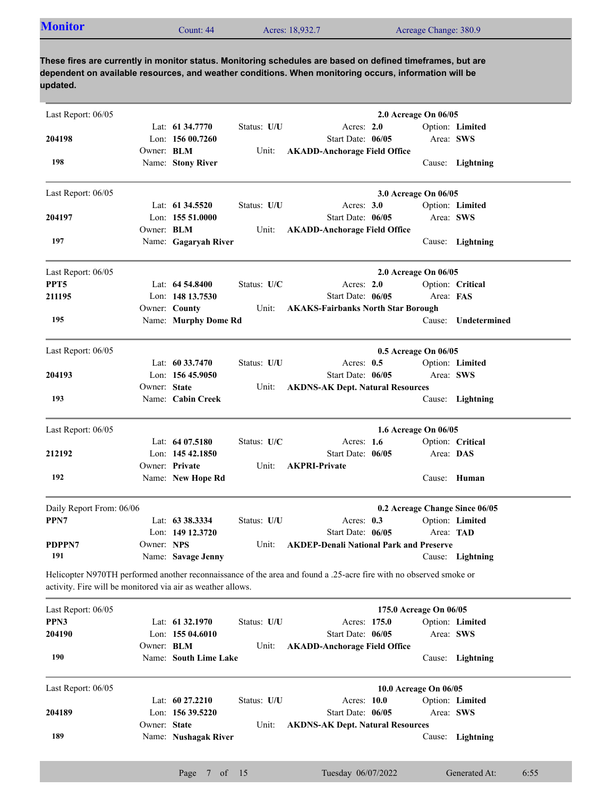| Last Report: 06/05                                          |                   |                       |             |                                                                                                                    | 2.0 Acreage On 06/05           |                  |
|-------------------------------------------------------------|-------------------|-----------------------|-------------|--------------------------------------------------------------------------------------------------------------------|--------------------------------|------------------|
|                                                             |                   | Lat: 61 34.7770       | Status: U/U | Acres: $2.0$                                                                                                       |                                | Option: Limited  |
| 204198                                                      |                   | Lon: 156 00.7260      |             | Start Date: 06/05                                                                                                  | Area: SWS                      |                  |
|                                                             | Owner: <b>BLM</b> |                       | Unit:       | <b>AKADD-Anchorage Field Office</b>                                                                                |                                |                  |
| 198                                                         |                   | Name: Stony River     |             |                                                                                                                    |                                | Cause: Lightning |
| Last Report: 06/05                                          |                   |                       |             |                                                                                                                    | 3.0 Acreage On 06/05           |                  |
|                                                             |                   | Lat: $61\,34.5520$    | Status: U/U | Acres: $3.0$                                                                                                       |                                | Option: Limited  |
| 204197                                                      |                   | Lon: 155 51.0000      |             | Start Date: 06/05                                                                                                  | Area: SWS                      |                  |
|                                                             | Owner: BLM        |                       | Unit:       | <b>AKADD-Anchorage Field Office</b>                                                                                |                                |                  |
| 197                                                         |                   | Name: Gagaryah River  |             |                                                                                                                    |                                | Cause: Lightning |
| Last Report: 06/05                                          |                   |                       |             |                                                                                                                    | 2.0 Acreage On 06/05           |                  |
| PPT5                                                        |                   | Lat: $64\,54.8400$    | Status: U/C | Acres: 2.0                                                                                                         |                                | Option: Critical |
| 211195                                                      |                   | Lon: 148 13.7530      |             | Start Date: 06/05                                                                                                  | Area: FAS                      |                  |
|                                                             |                   | Owner: County         | Unit:       | <b>AKAKS-Fairbanks North Star Borough</b>                                                                          |                                |                  |
| 195                                                         |                   | Name: Murphy Dome Rd  |             |                                                                                                                    | Cause:                         | Undetermined     |
| Last Report: 06/05                                          |                   |                       |             |                                                                                                                    | 0.5 Acreage On 06/05           |                  |
|                                                             |                   | Lat: 60 33.7470       | Status: U/U | Acres: $0.5$                                                                                                       |                                | Option: Limited  |
| 204193                                                      |                   | Lon: $15645.9050$     |             | Start Date: 06/05                                                                                                  | Area: SWS                      |                  |
|                                                             | Owner: State      |                       | Unit:       | <b>AKDNS-AK Dept. Natural Resources</b>                                                                            |                                |                  |
| 193                                                         |                   | Name: Cabin Creek     |             |                                                                                                                    |                                | Cause: Lightning |
| Last Report: 06/05                                          |                   |                       |             |                                                                                                                    | 1.6 Acreage On 06/05           |                  |
|                                                             |                   | Lat: $6407.5180$      | Status: U/C | Acres: 1.6                                                                                                         |                                | Option: Critical |
| 212192                                                      |                   | Lon: $14542.1850$     |             | Start Date: 06/05                                                                                                  | Area: DAS                      |                  |
|                                                             |                   | Owner: Private        | Unit:       | <b>AKPRI-Private</b>                                                                                               |                                |                  |
| 192                                                         |                   | Name: New Hope Rd     |             |                                                                                                                    |                                | Cause: Human     |
| Daily Report From: 06/06                                    |                   |                       |             |                                                                                                                    | 0.2 Acreage Change Since 06/05 |                  |
| PPN7                                                        |                   | Lat: 63 38.3334       | Status: U/U | Acres: $0.3$                                                                                                       |                                | Option: Limited  |
|                                                             |                   | Lon: 149 12.3720      |             | Start Date: 06/05                                                                                                  | Area: TAD                      |                  |
| PDPPN7                                                      | Owner: NPS        |                       | Unit:       | <b>AKDEP-Denali National Park and Preserve</b>                                                                     |                                |                  |
| 191                                                         |                   | Name: Savage Jenny    |             |                                                                                                                    |                                | Cause: Lightning |
| activity. Fire will be monitored via air as weather allows. |                   |                       |             | Helicopter N970TH performed another reconnaissance of the area and found a .25-acre fire with no observed smoke or |                                |                  |
| Last Report: 06/05                                          |                   |                       |             |                                                                                                                    | 175.0 Acreage On 06/05         |                  |
| PPN3                                                        |                   | Lat: 61 32.1970       | Status: U/U | Acres: 175.0                                                                                                       |                                | Option: Limited  |
| 204190                                                      |                   | Lon: 155 04.6010      |             | Start Date: 06/05                                                                                                  | Area: SWS                      |                  |
|                                                             | Owner: BLM        |                       | Unit:       | <b>AKADD-Anchorage Field Office</b>                                                                                |                                |                  |
| 190                                                         |                   | Name: South Lime Lake |             |                                                                                                                    | Cause:                         | Lightning        |
| Last Report: 06/05                                          |                   |                       |             |                                                                                                                    | 10.0 Acreage On 06/05          |                  |
|                                                             |                   | Lat: 60 27.2210       | Status: U/U | Acres: 10.0                                                                                                        |                                | Option: Limited  |
| 204189                                                      |                   | Lon: 156 39.5220      |             | Start Date: 06/05                                                                                                  | Area: SWS                      |                  |
|                                                             | Owner: State      |                       | Unit:       | <b>AKDNS-AK Dept. Natural Resources</b>                                                                            |                                |                  |
| 189                                                         |                   | Name: Nushagak River  |             |                                                                                                                    | Cause:                         | Lightning        |
|                                                             |                   |                       |             |                                                                                                                    |                                |                  |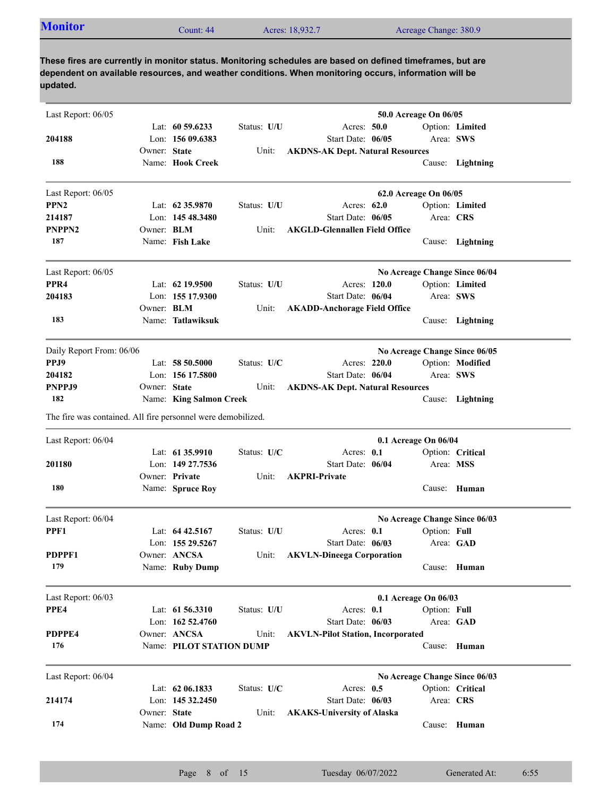| <b>Monitor</b><br>Acres: 18,932.7<br>Acreage Change: 380.9<br>Count: 44 |  |  |  |  |
|-------------------------------------------------------------------------|--|--|--|--|
|-------------------------------------------------------------------------|--|--|--|--|

| Last Report: 06/05                                           |              |                          |             |                                          | 50.0 Acreage On 06/05 |                               |
|--------------------------------------------------------------|--------------|--------------------------|-------------|------------------------------------------|-----------------------|-------------------------------|
|                                                              |              | Lat: $60\,59.6233$       | Status: U/U | Acres: 50.0                              |                       | Option: Limited               |
| 204188                                                       |              | Lon: 156 09.6383         |             | Start Date: 06/05                        |                       | Area: SWS                     |
|                                                              | Owner: State |                          | Unit:       | <b>AKDNS-AK Dept. Natural Resources</b>  |                       |                               |
| 188                                                          |              | Name: Hook Creek         |             |                                          |                       | Cause: Lightning              |
| Last Report: 06/05                                           |              |                          |             |                                          | 62.0 Acreage On 06/05 |                               |
| PPN <sub>2</sub>                                             |              | Lat: $62\,35.9870$       | Status: U/U | Acres: 62.0                              |                       | Option: Limited               |
| 214187                                                       |              | Lon: 145 48.3480         |             | Start Date: 06/05                        | Area: CRS             |                               |
| PNPPN2                                                       | Owner: BLM   |                          | Unit:       | <b>AKGLD-Glennallen Field Office</b>     |                       |                               |
| 187                                                          |              | Name: Fish Lake          |             |                                          |                       | Cause: Lightning              |
| Last Report: 06/05                                           |              |                          |             |                                          |                       | No Acreage Change Since 06/04 |
| PPR <sub>4</sub>                                             |              | Lat: $62$ 19.9500        | Status: U/U | Acres: 120.0                             |                       | Option: Limited               |
| 204183                                                       |              | Lon: 155 17.9300         |             | Start Date: 06/04                        | Area: SWS             |                               |
|                                                              | Owner: BLM   |                          | Unit:       | <b>AKADD-Anchorage Field Office</b>      |                       |                               |
| 183                                                          |              | Name: Tatlawiksuk        |             |                                          |                       | Cause: Lightning              |
| Daily Report From: 06/06                                     |              |                          |             |                                          |                       | No Acreage Change Since 06/05 |
| PPJ9                                                         |              | Lat: $58,50,5000$        | Status: U/C | Acres: 220.0                             |                       | Option: Modified              |
| 204182                                                       |              | Lon: 156 17.5800         |             | Start Date: 06/04                        | Area: SWS             |                               |
| PNPPJ9                                                       | Owner: State |                          | Unit:       | <b>AKDNS-AK Dept. Natural Resources</b>  |                       |                               |
| 182                                                          |              | Name: King Salmon Creek  |             |                                          |                       | Cause: Lightning              |
| The fire was contained. All fire personnel were demobilized. |              |                          |             |                                          |                       |                               |
| Last Report: 06/04                                           |              |                          |             |                                          | 0.1 Acreage On 06/04  |                               |
|                                                              |              | Lat: 61 35.9910          | Status: U/C | Acres: 0.1                               |                       | Option: Critical              |
| 201180                                                       |              | Lon: 149 27.7536         |             | Start Date: 06/04                        | Area: MSS             |                               |
|                                                              |              | Owner: Private           | Unit:       | <b>AKPRI-Private</b>                     |                       |                               |
| 180                                                          |              | Name: Spruce Roy         |             |                                          |                       | Cause: Human                  |
| Last Report: 06/04                                           |              |                          |             |                                          |                       | No Acreage Change Since 06/03 |
| PPF1                                                         |              | Lat: $64\,42.5167$       | Status: U/U | Acres: 0.1                               | Option: Full          |                               |
|                                                              |              | Lon: 155 29.5267         |             | Start Date: 06/03                        |                       | Area: GAD                     |
| PDPPF1                                                       |              | Owner: ANCSA             |             | Unit: AKVLN-Dineega Corporation          |                       |                               |
| 179                                                          |              | Name: Ruby Dump          |             |                                          |                       | Cause: Human                  |
| Last Report: 06/03                                           |              |                          |             |                                          | 0.1 Acreage On 06/03  |                               |
| PPE4                                                         |              | Lat: 61 56.3310          | Status: U/U | Acres: 0.1                               | Option: Full          |                               |
|                                                              |              | Lon: 162 52.4760         |             | Start Date: 06/03                        |                       | Area: GAD                     |
| PDPPE4                                                       |              | Owner: ANCSA             | Unit:       | <b>AKVLN-Pilot Station, Incorporated</b> |                       |                               |
| 176                                                          |              | Name: PILOT STATION DUMP |             |                                          |                       | Cause: Human                  |
| Last Report: 06/04                                           |              |                          |             |                                          |                       | No Acreage Change Since 06/03 |
|                                                              |              | Lat: $62\,06.1833$       | Status: U/C | Acres: 0.5                               |                       | Option: Critical              |
| 214174                                                       |              | Lon: 145 32,2450         |             | Start Date: 06/03                        | Area: CRS             |                               |
|                                                              | Owner: State |                          | Unit:       | <b>AKAKS-University of Alaska</b>        |                       |                               |
| 174                                                          |              | Name: Old Dump Road 2    |             |                                          |                       | Cause: Human                  |
|                                                              |              |                          |             |                                          |                       |                               |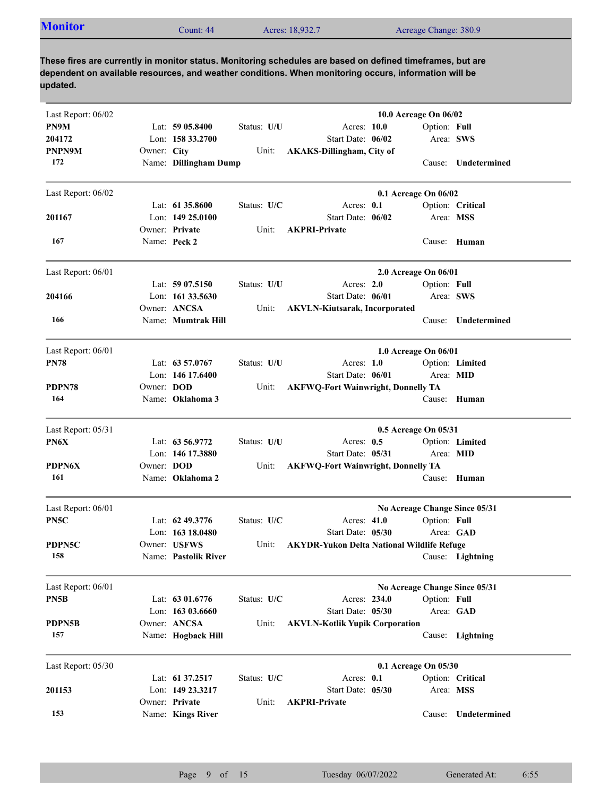| <b>Monitor</b><br>Acreage Change: 380.9<br>Acres: 18,932.7<br>Count: 44 |  |
|-------------------------------------------------------------------------|--|
|-------------------------------------------------------------------------|--|

| Last Report: 06/02                |                   |                       |             |                                                   | 10.0 Acreage On 06/02         |                     |
|-----------------------------------|-------------------|-----------------------|-------------|---------------------------------------------------|-------------------------------|---------------------|
| PN9M                              |                   | Lat: $5905.8400$      | Status: U/U | Acres: 10.0                                       | Option: Full                  |                     |
| 204172                            |                   | Lon: $15833.2700$     |             | Start Date: 06/02                                 | Area: SWS                     |                     |
| PNPN9M                            | Owner: City       |                       | Unit:       | <b>AKAKS-Dillingham, City of</b>                  |                               |                     |
| 172                               |                   | Name: Dillingham Dump |             |                                                   | Cause:                        | <b>Undetermined</b> |
|                                   |                   |                       |             |                                                   |                               |                     |
| Last Report: 06/02                |                   |                       |             |                                                   | 0.1 Acreage On 06/02          |                     |
|                                   |                   | Lat: $6135.8600$      | Status: U/C | Acres: $0.1$                                      |                               | Option: Critical    |
| 201167                            |                   | Lon: $14925.0100$     |             | Start Date: 06/02                                 | Area: MSS                     |                     |
|                                   |                   | Owner: Private        | Unit:       | <b>AKPRI-Private</b>                              |                               |                     |
| 167                               |                   | Name: Peck 2          |             |                                                   | Cause: Human                  |                     |
| Last Report: 06/01                |                   |                       |             |                                                   | 2.0 Acreage On 06/01          |                     |
|                                   |                   | Lat: 59 07.5150       | Status: U/U | Acres: 2.0                                        | Option: Full                  |                     |
| 204166                            |                   | Lon: 161 33.5630      |             | Start Date: 06/01                                 | Area: SWS                     |                     |
|                                   |                   | Owner: ANCSA          | Unit:       | <b>AKVLN-Kiutsarak, Incorporated</b>              |                               |                     |
| 166                               |                   | Name: Mumtrak Hill    |             |                                                   | Cause:                        | Undetermined        |
|                                   |                   |                       |             |                                                   |                               |                     |
| Last Report: 06/01<br><b>PN78</b> |                   |                       |             |                                                   | 1.0 Acreage On 06/01          |                     |
|                                   |                   | Lat: 63 57.0767       | Status: U/U | Acres: $1.0$                                      |                               | Option: Limited     |
|                                   |                   | Lon: 146 17.6400      |             | Start Date: 06/01                                 | Area: MID                     |                     |
| PDPN78<br>164                     | Owner: <b>DOD</b> |                       | Unit:       | <b>AKFWQ-Fort Wainwright, Donnelly TA</b>         |                               |                     |
|                                   |                   | Name: Oklahoma 3      |             |                                                   | Cause: Human                  |                     |
| Last Report: 05/31                |                   |                       |             |                                                   | 0.5 Acreage On 05/31          |                     |
| PN6X                              |                   | Lat: 63 56.9772       | Status: U/U | Acres: $0.5$                                      |                               | Option: Limited     |
|                                   |                   | Lon: 146 17.3880      |             | Start Date: 05/31                                 | Area: MID                     |                     |
| <b>PDPN6X</b>                     | Owner: <b>DOD</b> |                       | Unit:       | <b>AKFWQ-Fort Wainwright, Donnelly TA</b>         |                               |                     |
| 161                               |                   | Name: Oklahoma 2      |             |                                                   | Cause: Human                  |                     |
| Last Report: 06/01                |                   |                       |             |                                                   | No Acreage Change Since 05/31 |                     |
| PN5C                              |                   | Lat: 62 49.3776       | Status: U/C | Acres: $41.0$                                     | Option: Full                  |                     |
|                                   |                   | Lon: 163 18.0480      |             | Start Date: 05/30                                 | Area: GAD                     |                     |
| PDPN5C                            |                   | Owner: USFWS          | Unit:       | <b>AKYDR-Yukon Delta National Wildlife Refuge</b> |                               |                     |
| 158                               |                   | Name: Pastolik River  |             |                                                   |                               | Cause: Lightning    |
| Last Report: 06/01                |                   |                       |             |                                                   | No Acreage Change Since 05/31 |                     |
| PN5B                              |                   | Lat: 63 01.6776       | Status: U/C | Acres: 234.0                                      | Option: Full                  |                     |
|                                   |                   | Lon: 163 03.6660      |             | Start Date: 05/30                                 | Area: GAD                     |                     |
| PDPN5B                            |                   | Owner: ANCSA          | Unit:       | <b>AKVLN-Kotlik Yupik Corporation</b>             |                               |                     |
| 157                               |                   | Name: Hogback Hill    |             |                                                   |                               | Cause: Lightning    |
|                                   |                   |                       |             |                                                   |                               |                     |
| Last Report: 05/30                |                   | Lat: 61 37.2517       |             | Acres: 0.1                                        | 0.1 Acreage On 05/30          |                     |
|                                   |                   | Lon: 149 23.3217      | Status: U/C | Start Date: 05/30                                 | Area: MSS                     | Option: Critical    |
| 201153                            |                   | Owner: Private        |             | <b>AKPRI-Private</b>                              |                               |                     |
| 153                               |                   |                       | Unit:       |                                                   | Cause:                        | Undetermined        |
|                                   |                   | Name: Kings River     |             |                                                   |                               |                     |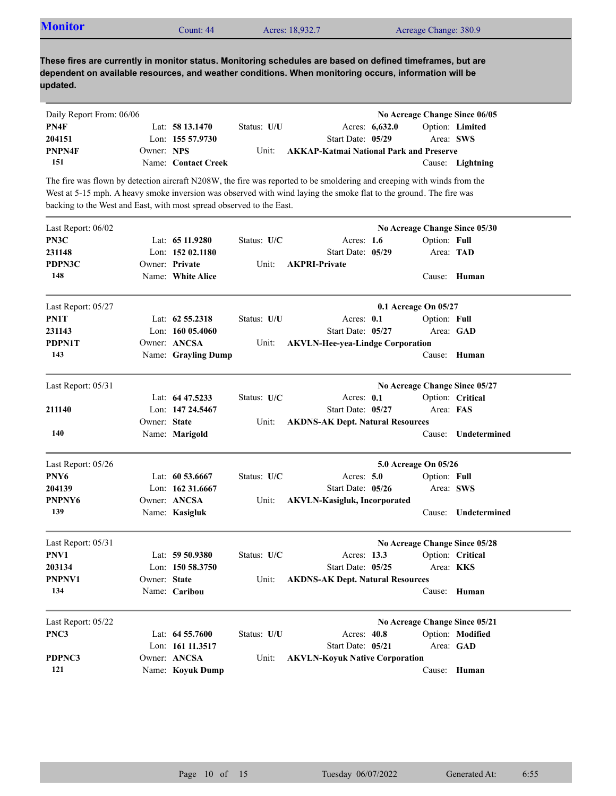|  | <b>Monitor</b> | Count: 44 | Acres: 18,932.7 | Acreage Change: 380.9 |  |
|--|----------------|-----------|-----------------|-----------------------|--|
|--|----------------|-----------|-----------------|-----------------------|--|

| Daily Report From: 06/06 |            |                     |             |                                                |                  | No Acreage Change Since 06/05 |
|--------------------------|------------|---------------------|-------------|------------------------------------------------|------------------|-------------------------------|
| PN4F                     |            | Lat: $5813.1470$    | Status: U/U |                                                | Acres: $6,632.0$ | <b>Option:</b> Limited        |
| 204151                   |            | Lon: $15557.9730$   |             | Start Date: 05/29                              |                  | Area: SWS                     |
| PNPN4F                   | Owner: NPS |                     | Unit:       | <b>AKKAP-Katmai National Park and Preserve</b> |                  |                               |
| 151                      |            | Name: Contact Creek |             |                                                |                  | Cause: Lightning              |

The fire was flown by detection aircraft N208W, the fire was reported to be smoldering and creeping with winds from the West at 5-15 mph. A heavy smoke inversion was observed with wind laying the smoke flat to the ground. The fire was backing to the West and East, with most spread observed to the East.

| Last Report: 06/02 |              |                     |             |                                         |                      | No Acreage Change Since 05/30 |
|--------------------|--------------|---------------------|-------------|-----------------------------------------|----------------------|-------------------------------|
| PN3C               |              | Lat: $6511.9280$    | Status: U/C | Acres: $1.6$                            | Option: Full         |                               |
| 231148             |              | Lon: 152 02.1180    |             | Start Date: 05/29                       | Area: TAD            |                               |
| PDPN3C             |              | Owner: Private      | Unit:       | <b>AKPRI-Private</b>                    |                      |                               |
| 148                |              | Name: White Alice   |             |                                         |                      | Cause: Human                  |
| Last Report: 05/27 |              |                     |             |                                         | 0.1 Acreage On 05/27 |                               |
| PN1T               |              | Lat: $62\,55.2318$  | Status: U/U | Acres: $0.1$                            | Option: Full         |                               |
| 231143             |              | Lon: 160 05.4060    |             | Start Date: 05/27                       |                      | Area: GAD                     |
| PDPN1T             |              | Owner: ANCSA        | Unit:       | <b>AKVLN-Hee-yea-Lindge Corporation</b> |                      |                               |
| 143                |              | Name: Grayling Dump |             |                                         |                      | Cause: Human                  |
| Last Report: 05/31 |              |                     |             |                                         |                      | No Acreage Change Since 05/27 |
|                    |              | Lat: $64\,47.5233$  | Status: U/C | Acres: $0.1$                            |                      | Option: Critical              |
| 211140             |              | Lon: 147 24.5467    |             | Start Date: 05/27                       | Area: FAS            |                               |
|                    | Owner: State |                     | Unit:       | <b>AKDNS-AK Dept. Natural Resources</b> |                      |                               |
| 140                |              | Name: Marigold      |             |                                         | Cause:               | Undetermined                  |
| Last Report: 05/26 |              |                     |             |                                         | 5.0 Acreage On 05/26 |                               |
| PNY6               |              | Lat: $60\,53.6667$  | Status: U/C | Acres: $5.0$                            | Option: Full         |                               |
| 204139             |              | Lon: 162 31.6667    |             | Start Date: 05/26                       | Area: SWS            |                               |
| PNPNY <sub>6</sub> |              | Owner: ANCSA        | Unit:       | <b>AKVLN-Kasigluk, Incorporated</b>     |                      |                               |
| 139                |              | Name: Kasigluk      |             |                                         |                      | Cause: Undetermined           |
| Last Report: 05/31 |              |                     |             |                                         |                      | No Acreage Change Since 05/28 |
| PNV1               |              | Lat: 59 50.9380     | Status: U/C | Acres: 13.3                             |                      | Option: Critical              |
| 203134             |              | Lon: 150 58.3750    |             | Start Date: 05/25                       | Area: KKS            |                               |
| PNPNV1             | Owner: State |                     | Unit:       | <b>AKDNS-AK Dept. Natural Resources</b> |                      |                               |
| 134                |              | Name: Caribou       |             |                                         |                      | Cause: Human                  |
| Last Report: 05/22 |              |                     |             |                                         |                      | No Acreage Change Since 05/21 |
| PNC3               |              | Lat: $64\,55.7600$  | Status: U/U | Acres: $40.8$                           |                      | Option: Modified              |
|                    |              | Lon: 161 11.3517    |             | Start Date: 05/21                       |                      | Area: GAD                     |
| PDPNC3             |              | Owner: ANCSA        | Unit:       | <b>AKVLN-Koyuk Native Corporation</b>   |                      |                               |
| 121                |              | Name: Koyuk Dump    |             |                                         |                      | Cause: Human                  |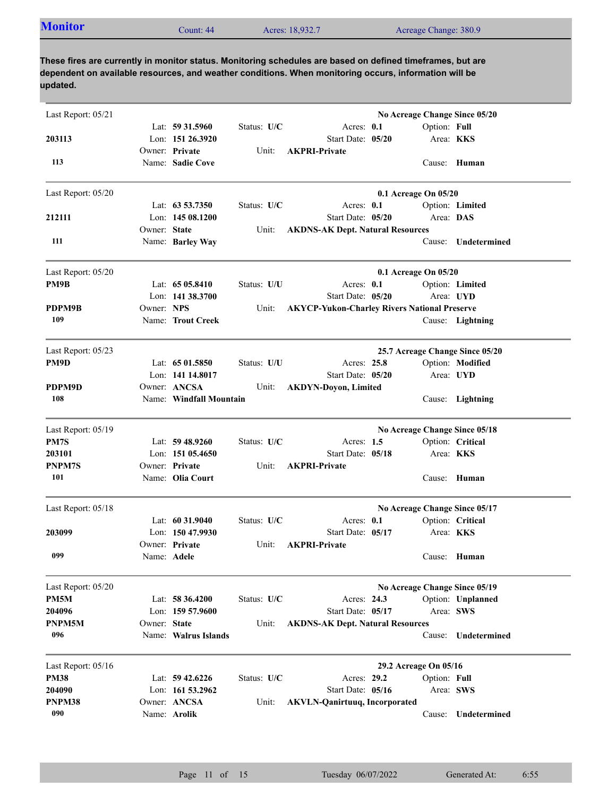| <b>Monitor</b><br>Acres: 18,932.7<br>Acreage Change: 380.9<br>Count: 44 |  |
|-------------------------------------------------------------------------|--|
|-------------------------------------------------------------------------|--|

| Last Report: 05/21 |              | Lat: 59 31.5960         | Status: U/C | Acres: 0.1                                          | No Acreage Change Since 05/20<br>Option: Full |                                 |
|--------------------|--------------|-------------------------|-------------|-----------------------------------------------------|-----------------------------------------------|---------------------------------|
| 203113             |              | Lon: 151 26.3920        |             | Start Date: 05/20                                   | Area: <b>KKS</b>                              |                                 |
|                    |              | Owner: Private          | Unit:       | <b>AKPRI-Private</b>                                |                                               |                                 |
| 113                |              | Name: Sadie Cove        |             |                                                     |                                               | Cause: Human                    |
| Last Report: 05/20 |              |                         |             |                                                     | 0.1 Acreage On 05/20                          |                                 |
|                    |              | Lat: $63\,53.7350$      | Status: U/C | Acres: $0.1$                                        |                                               | Option: Limited                 |
| 212111             |              | Lon: $14508.1200$       |             | Start Date: 05/20                                   | Area: DAS                                     |                                 |
|                    | Owner: State |                         | Unit:       | <b>AKDNS-AK Dept. Natural Resources</b>             |                                               |                                 |
| 111                |              | Name: Barley Way        |             |                                                     | Cause:                                        | Undetermined                    |
| Last Report: 05/20 |              |                         |             |                                                     | 0.1 Acreage On 05/20                          |                                 |
| PM9B               |              | Lat: $6505.8410$        | Status: U/U | Acres: 0.1                                          |                                               | Option: Limited                 |
|                    |              | Lon: $141\,38.3700$     |             | Start Date: 05/20                                   |                                               | Area: UYD                       |
| PDPM9B             | Owner: NPS   |                         | Unit:       | <b>AKYCP-Yukon-Charley Rivers National Preserve</b> |                                               |                                 |
| 109                |              | Name: Trout Creek       |             |                                                     |                                               | Cause: Lightning                |
| Last Report: 05/23 |              |                         |             |                                                     |                                               | 25.7 Acreage Change Since 05/20 |
| PM9D               |              | Lat: $6501.5850$        | Status: U/U | Acres: 25.8                                         |                                               | Option: Modified                |
|                    |              | Lon: 141 14.8017        |             | Start Date: 05/20                                   |                                               | Area: UYD                       |
| PDPM9D             |              | Owner: ANCSA            | Unit:       | <b>AKDYN-Doyon, Limited</b>                         |                                               |                                 |
| 108                |              | Name: Windfall Mountain |             |                                                     |                                               | Cause: Lightning                |
| Last Report: 05/19 |              |                         |             |                                                     | No Acreage Change Since 05/18                 |                                 |
| PM7S               |              | Lat: $59\,48.9260$      | Status: U/C | Acres: $1.5$                                        |                                               | Option: Critical                |
| 203101             |              | Lon: $15105.4650$       |             | Start Date: 05/18                                   | Area: KKS                                     |                                 |
| PNPM7S             |              | Owner: Private          | Unit:       | <b>AKPRI-Private</b>                                |                                               |                                 |
| 101                |              | Name: Olia Court        |             |                                                     | Cause:                                        | Human                           |
| Last Report: 05/18 |              |                         |             |                                                     | No Acreage Change Since 05/17                 |                                 |
|                    |              | Lat: $60\,31.9040$      | Status: U/C | Acres: $0.1$                                        |                                               | Option: Critical                |
| 203099             |              | Lon: 150 47.9930        |             | Start Date: 05/17                                   | Area: KKS                                     |                                 |
|                    |              | Owner: Private          | Unit:       | <b>AKPRI-Private</b>                                |                                               |                                 |
| 099                | Name: Adele  |                         |             |                                                     |                                               | Cause: Human                    |
| Last Report: 05/20 |              |                         |             |                                                     | No Acreage Change Since 05/19                 |                                 |
| PM5M               |              | Lat: $58\,36.4200$      | Status: U/C | Acres: 24.3                                         |                                               | Option: Unplanned               |
| 204096             |              | Lon: 159 57.9600        |             | Start Date: 05/17                                   | Area: SWS                                     |                                 |
| PNPM5M             | Owner: State |                         | Unit:       | <b>AKDNS-AK Dept. Natural Resources</b>             |                                               |                                 |
| 096                |              | Name: Walrus Islands    |             |                                                     | Cause:                                        | Undetermined                    |
| Last Report: 05/16 |              |                         |             |                                                     | 29.2 Acreage On 05/16                         |                                 |
| <b>PM38</b>        |              | Lat: 59 42.6226         | Status: U/C | Acres: 29.2                                         | Option: Full                                  |                                 |
| 204090             |              | Lon: 161 53.2962        |             | Start Date: 05/16                                   | Area: SWS                                     |                                 |
| PNPM38             |              | Owner: ANCSA            | Unit:       | <b>AKVLN-Qanirtuuq, Incorporated</b>                |                                               |                                 |
| 090                |              | Name: Arolik            |             |                                                     | Cause:                                        | Undetermined                    |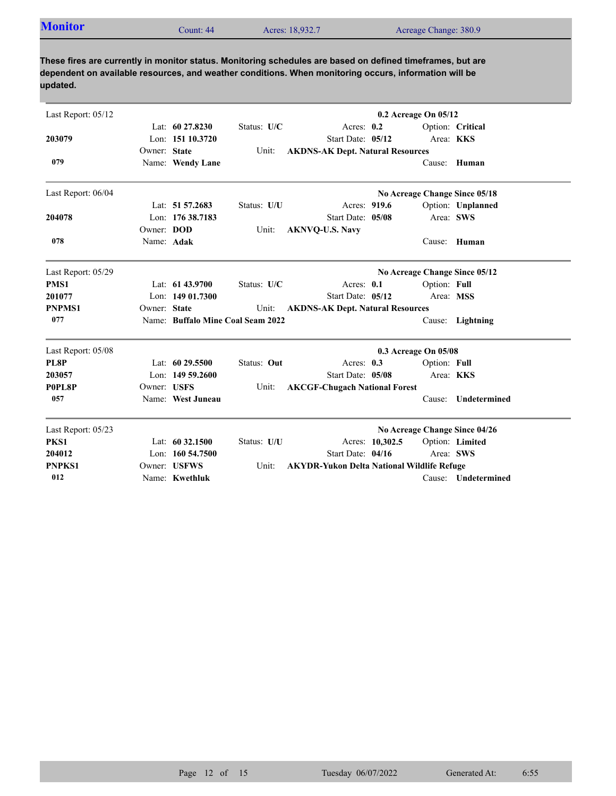| <b>Monitor</b> |           |                 |                       |
|----------------|-----------|-----------------|-----------------------|
|                | Count: 44 | Acres: 18,932.7 | Acreage Change: 380.9 |

| Last Report: 05/12 |              |                                   |             | 0.2 Acreage On 05/12                              |                 |              |                               |  |
|--------------------|--------------|-----------------------------------|-------------|---------------------------------------------------|-----------------|--------------|-------------------------------|--|
|                    |              | Lat: 60 27.8230                   | Status: U/C | Acres: $0.2$                                      |                 |              | Option: Critical              |  |
| 203079             |              | Lon: 151 10.3720                  |             | Start Date: 05/12                                 |                 | Area: KKS    |                               |  |
|                    | Owner: State |                                   | Unit:       | <b>AKDNS-AK Dept. Natural Resources</b>           |                 |              |                               |  |
| 079                |              | Name: Wendy Lane                  |             |                                                   |                 |              | Cause: Human                  |  |
| Last Report: 06/04 |              |                                   |             |                                                   |                 |              | No Acreage Change Since 05/18 |  |
|                    |              | Lat: 51 57.2683                   | Status: U/U | Acres: 919.6                                      |                 |              | Option: Unplanned             |  |
| 204078             |              | Lon: 176 38.7183                  |             | Start Date: 05/08                                 |                 | Area: SWS    |                               |  |
|                    | Owner: DOD   |                                   | Unit:       | <b>AKNVQ-U.S. Navy</b>                            |                 |              |                               |  |
| 078                | Name: Adak   |                                   |             |                                                   |                 | Cause:       | Human                         |  |
| Last Report: 05/29 |              |                                   |             |                                                   |                 |              | No Acreage Change Since 05/12 |  |
| PMS1               |              | Lat: 61 43.9700                   | Status: U/C | Acres: 0.1                                        |                 | Option: Full |                               |  |
| 201077             |              | Lon: $14901.7300$                 |             | Start Date: 05/12                                 |                 | Area: MSS    |                               |  |
| <b>PNPMS1</b>      | Owner: State |                                   | Unit:       | <b>AKDNS-AK Dept. Natural Resources</b>           |                 |              |                               |  |
| 077                |              | Name: Buffalo Mine Coal Seam 2022 |             |                                                   |                 |              | Cause: Lightning              |  |
| Last Report: 05/08 |              |                                   |             | 0.3 Acreage On 05/08                              |                 |              |                               |  |
| PL8P               |              | Lat: $6029.5500$                  | Status: Out | Acres: $0.3$                                      |                 | Option: Full |                               |  |
| 203057             |              | Lon: $14959.2600$                 |             | Start Date: 05/08                                 |                 | Area: KKS    |                               |  |
| P0PL8P             | Owner: USFS  |                                   | Unit:       | <b>AKCGF-Chugach National Forest</b>              |                 |              |                               |  |
| 057                |              | Name: West Juneau                 |             |                                                   |                 | Cause:       | Undetermined                  |  |
| Last Report: 05/23 |              |                                   |             |                                                   |                 |              | No Acreage Change Since 04/26 |  |
| PKS1               |              | Lat: 60 32.1500                   | Status: U/U |                                                   | Acres: 10,302.5 |              | Option: Limited               |  |
| 204012             |              | Lon: 160 54.7500                  |             | Start Date: 04/16                                 |                 | Area: SWS    |                               |  |
| <b>PNPKS1</b>      |              | Owner: USFWS                      | Unit:       | <b>AKYDR-Yukon Delta National Wildlife Refuge</b> |                 |              |                               |  |
| 012                |              | Name: Kwethluk                    |             |                                                   |                 |              | Cause: Undetermined           |  |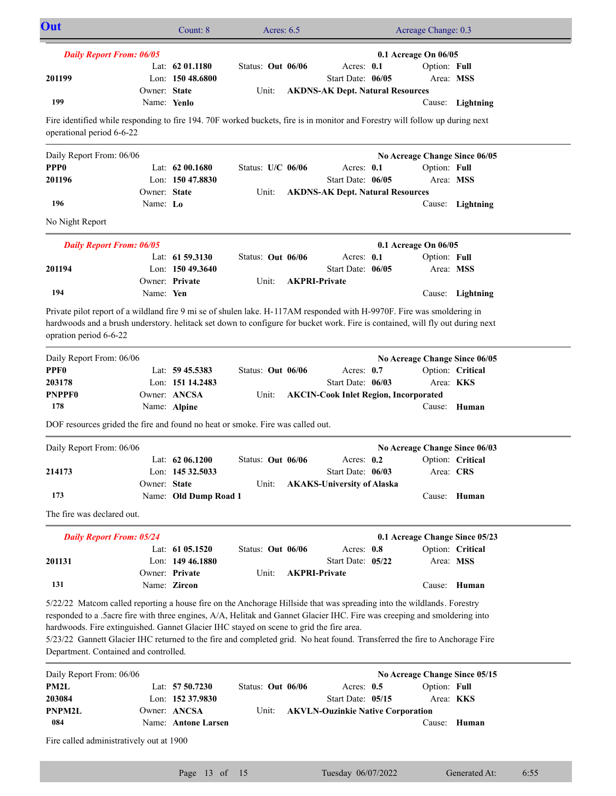| Out                                                                                                                                                                                                                                                                                                                                                                                                                                                                                                                   |              | Count: 8              | Acres: $6.5$      |                      |                                              |  | Acreage Change: 0.3            |                  |  |
|-----------------------------------------------------------------------------------------------------------------------------------------------------------------------------------------------------------------------------------------------------------------------------------------------------------------------------------------------------------------------------------------------------------------------------------------------------------------------------------------------------------------------|--------------|-----------------------|-------------------|----------------------|----------------------------------------------|--|--------------------------------|------------------|--|
| <b>Daily Report From: 06/05</b><br>0.1 Acreage On 06/05                                                                                                                                                                                                                                                                                                                                                                                                                                                               |              |                       |                   |                      |                                              |  |                                |                  |  |
|                                                                                                                                                                                                                                                                                                                                                                                                                                                                                                                       |              | Lat: $62 01.1180$     | Status: Out 06/06 |                      | Acres: 0.1                                   |  | Option: Full                   |                  |  |
| 201199                                                                                                                                                                                                                                                                                                                                                                                                                                                                                                                |              | Lon: 150 48.6800      |                   |                      | Start Date: 06/05                            |  | Area: MSS                      |                  |  |
|                                                                                                                                                                                                                                                                                                                                                                                                                                                                                                                       | Owner: State |                       | Unit:             |                      | <b>AKDNS-AK Dept. Natural Resources</b>      |  |                                |                  |  |
| 199                                                                                                                                                                                                                                                                                                                                                                                                                                                                                                                   | Name: Yenlo  |                       |                   |                      |                                              |  |                                | Cause: Lightning |  |
| Fire identified while responding to fire 194. 70F worked buckets, fire is in monitor and Forestry will follow up during next<br>operational period 6-6-22                                                                                                                                                                                                                                                                                                                                                             |              |                       |                   |                      |                                              |  |                                |                  |  |
| Daily Report From: 06/06                                                                                                                                                                                                                                                                                                                                                                                                                                                                                              |              |                       |                   |                      |                                              |  | No Acreage Change Since 06/05  |                  |  |
| PPP <sub>0</sub>                                                                                                                                                                                                                                                                                                                                                                                                                                                                                                      |              | Lat: $6200.1680$      | Status: U/C 06/06 |                      | Acres: 0.1                                   |  | Option: Full                   |                  |  |
| 201196                                                                                                                                                                                                                                                                                                                                                                                                                                                                                                                |              | Lon: $15047.8830$     |                   |                      | Start Date: 06/05                            |  |                                | Area: MSS        |  |
|                                                                                                                                                                                                                                                                                                                                                                                                                                                                                                                       | Owner: State |                       | Unit:             |                      | <b>AKDNS-AK Dept. Natural Resources</b>      |  |                                |                  |  |
| 196                                                                                                                                                                                                                                                                                                                                                                                                                                                                                                                   | Name: Lo     |                       |                   |                      |                                              |  |                                | Cause: Lightning |  |
| No Night Report                                                                                                                                                                                                                                                                                                                                                                                                                                                                                                       |              |                       |                   |                      |                                              |  |                                |                  |  |
| <b>Daily Report From: 06/05</b>                                                                                                                                                                                                                                                                                                                                                                                                                                                                                       |              |                       |                   |                      |                                              |  | 0.1 Acreage On 06/05           |                  |  |
|                                                                                                                                                                                                                                                                                                                                                                                                                                                                                                                       |              | Lat: $61\,59.3130$    | Status: Out 06/06 |                      | Acres: 0.1                                   |  | Option: Full                   |                  |  |
| 201194                                                                                                                                                                                                                                                                                                                                                                                                                                                                                                                |              | Lon: $15049.3640$     |                   |                      | Start Date: 06/05                            |  | Area: MSS                      |                  |  |
|                                                                                                                                                                                                                                                                                                                                                                                                                                                                                                                       |              | Owner: Private        | Unit:             | <b>AKPRI-Private</b> |                                              |  |                                |                  |  |
| 194                                                                                                                                                                                                                                                                                                                                                                                                                                                                                                                   | Name: Yen    |                       |                   |                      |                                              |  |                                | Cause: Lightning |  |
| Private pilot report of a wildland fire 9 mi se of shulen lake. H-117AM responded with H-9970F. Fire was smoldering in<br>hardwoods and a brush understory. helitack set down to configure for bucket work. Fire is contained, will fly out during next<br>opration period 6-6-22                                                                                                                                                                                                                                     |              |                       |                   |                      |                                              |  |                                |                  |  |
| Daily Report From: 06/06                                                                                                                                                                                                                                                                                                                                                                                                                                                                                              |              |                       |                   |                      |                                              |  | No Acreage Change Since 06/05  |                  |  |
| PPF <sub>0</sub>                                                                                                                                                                                                                                                                                                                                                                                                                                                                                                      |              | Lat: $59\,45.5383$    | Status: Out 06/06 |                      | Acres: 0.7                                   |  |                                | Option: Critical |  |
| 203178                                                                                                                                                                                                                                                                                                                                                                                                                                                                                                                |              | Lon: 151 14.2483      |                   |                      | Start Date: 06/03                            |  | Area: KKS                      |                  |  |
| <b>PNPPF0</b>                                                                                                                                                                                                                                                                                                                                                                                                                                                                                                         |              | Owner: ANCSA          | Unit:             |                      | <b>AKCIN-Cook Inlet Region, Incorporated</b> |  |                                |                  |  |
| 178                                                                                                                                                                                                                                                                                                                                                                                                                                                                                                                   |              | Name: Alpine          |                   |                      |                                              |  |                                | Cause: Human     |  |
| DOF resources grided the fire and found no heat or smoke. Fire was called out.                                                                                                                                                                                                                                                                                                                                                                                                                                        |              |                       |                   |                      |                                              |  |                                |                  |  |
| Daily Report From: 06/06                                                                                                                                                                                                                                                                                                                                                                                                                                                                                              |              |                       |                   |                      |                                              |  | No Acreage Change Since 06/03  |                  |  |
|                                                                                                                                                                                                                                                                                                                                                                                                                                                                                                                       |              | Lat: 62 06.1200       | Status: Out 06/06 |                      | Acres: $0.2$                                 |  |                                | Option: Critical |  |
| 214173                                                                                                                                                                                                                                                                                                                                                                                                                                                                                                                |              | Lon: 145 32.5033      |                   |                      | Start Date: 06/03                            |  | Area: CRS                      |                  |  |
|                                                                                                                                                                                                                                                                                                                                                                                                                                                                                                                       | Owner: State |                       | Unit:             |                      | <b>AKAKS-University of Alaska</b>            |  |                                |                  |  |
| 173                                                                                                                                                                                                                                                                                                                                                                                                                                                                                                                   |              | Name: Old Dump Road 1 |                   |                      |                                              |  |                                | Cause: Human     |  |
| The fire was declared out.                                                                                                                                                                                                                                                                                                                                                                                                                                                                                            |              |                       |                   |                      |                                              |  |                                |                  |  |
| <b>Daily Report From: 05/24</b>                                                                                                                                                                                                                                                                                                                                                                                                                                                                                       |              |                       |                   |                      |                                              |  | 0.1 Acreage Change Since 05/23 |                  |  |
|                                                                                                                                                                                                                                                                                                                                                                                                                                                                                                                       |              | Lat: $6105.1520$      | Status: Out 06/06 |                      | Acres: 0.8                                   |  |                                | Option: Critical |  |
| 201131                                                                                                                                                                                                                                                                                                                                                                                                                                                                                                                |              | Lon: $14946.1880$     |                   |                      | Start Date: 05/22                            |  | Area: MSS                      |                  |  |
|                                                                                                                                                                                                                                                                                                                                                                                                                                                                                                                       |              | Owner: Private        | Unit:             | <b>AKPRI-Private</b> |                                              |  |                                |                  |  |
| 131                                                                                                                                                                                                                                                                                                                                                                                                                                                                                                                   |              | Name: Zircon          |                   |                      |                                              |  |                                | Cause: Human     |  |
| 5/22/22 Matcom called reporting a house fire on the Anchorage Hillside that was spreading into the wildlands. Forestry<br>responded to a .5acre fire with three engines, A/A, Helitak and Gannet Glacier IHC. Fire was creeping and smoldering into<br>hardwoods. Fire extinguished. Gannet Glacier IHC stayed on scene to grid the fire area.<br>5/23/22 Gannett Glacier IHC returned to the fire and completed grid. No heat found. Transferred the fire to Anchorage Fire<br>Department. Contained and controlled. |              |                       |                   |                      |                                              |  |                                |                  |  |
| Daily Report From: 06/06                                                                                                                                                                                                                                                                                                                                                                                                                                                                                              |              |                       |                   |                      |                                              |  | No Acreage Change Since 05/15  |                  |  |
| PM2L                                                                                                                                                                                                                                                                                                                                                                                                                                                                                                                  |              | Lat: 57 50.7230       | Status: Out 06/06 |                      | Acres: $0.5$                                 |  | Option: Full                   |                  |  |
| 203084                                                                                                                                                                                                                                                                                                                                                                                                                                                                                                                |              | Lon: 152 37.9830      |                   |                      | Start Date: 05/15                            |  |                                | Area: <b>KKS</b> |  |
| PNPM2L                                                                                                                                                                                                                                                                                                                                                                                                                                                                                                                |              | Owner: ANCSA          | Unit:             |                      | <b>AKVLN-Ouzinkie Native Corporation</b>     |  |                                |                  |  |
| 084                                                                                                                                                                                                                                                                                                                                                                                                                                                                                                                   |              | Name: Antone Larsen   |                   |                      |                                              |  |                                | Cause: Human     |  |
| Fire called administratively out at 1900                                                                                                                                                                                                                                                                                                                                                                                                                                                                              |              |                       |                   |                      |                                              |  |                                |                  |  |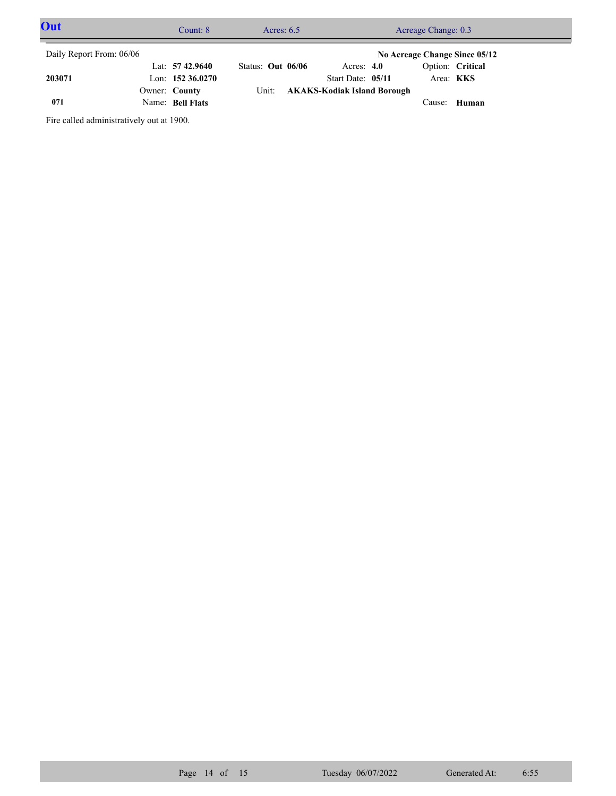| Out<br>Count: $8$        |  |                    | Acres: $6.5$        | Acreage Change: 0.3               |  |                  |  |  |
|--------------------------|--|--------------------|---------------------|-----------------------------------|--|------------------|--|--|
| Daily Report From: 06/06 |  |                    |                     | No Acreage Change Since 05/12     |  |                  |  |  |
|                          |  | Lat: $57\,42.9640$ | Status: Out $06/06$ | Acres: $4.0$                      |  | Option: Critical |  |  |
| 203071                   |  | Lon: $15236.0270$  |                     | Start Date: 05/11                 |  | Area: <b>KKS</b> |  |  |
|                          |  | Owner: County      |                     | Unit: AKAKS-Kodiak Island Borough |  |                  |  |  |
| 071                      |  | Name: Bell Flats   |                     |                                   |  | Cause: Human     |  |  |

Fire called administratively out at 1900.